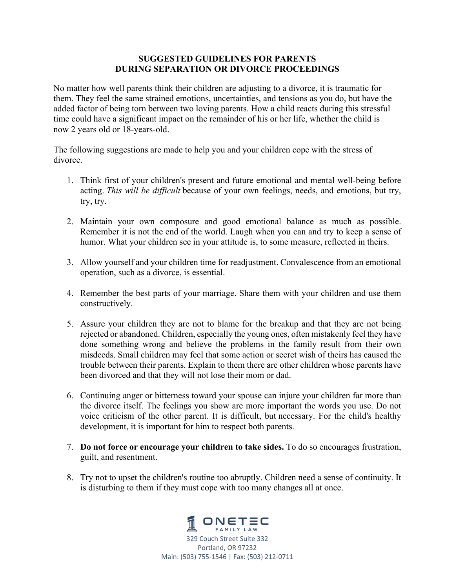## **SUGGESTED GUIDELINES FOR PARENTS DURING SEPARATION OR DIVORCE PROCEEDINGS**

No matter how well parents think their children are adjusting to a divorce, it is traumatic for them. They feel the same strained emotions, uncertainties, and tensions as you do, but have the added factor of being torn between two loving parents. How a child reacts during this stressful time could have a significant impact on the remainder of his or her life, whether the child is now 2 years old or 18-years-old.

The following suggestions are made to help you and your children cope with the stress of divorce.

- 1. Think first of your children's present and future emotional and mental well-being before acting. *This will be difficult* because of your own feelings, needs, and emotions, but try, try, try.
- 2. Maintain your own composure and good emotional balance as much as possible. Remember it is not the end of the world. Laugh when you can and try to keep a sense of humor. What your children see in your attitude is, to some measure, reflected in theirs.
- 3. Allow yourself and your children time for readjustment. Convalescence from an emotional operation, such as a divorce, is essential.
- 4. Remember the best parts of your marriage. Share them with your children and use them constructively.
- 5. Assure your children they are not to blame for the breakup and that they are not being rejected or abandoned. Children, especially the young ones, often mistakenly feel they have done something wrong and believe the problems in the family result from their own misdeeds. Small children may feel that some action or secret wish of theirs has caused the trouble between their parents. Explain to them there are other children whose parents have been divorced and that they will not lose their mom or dad.
- 6. Continuing anger or bitterness toward your spouse can injure your children far more than the divorce itself. The feelings you show are more important the words you use. Do not voice criticism of the other parent. It is difficult, but necessary. For the child's healthy development, it is important for him to respect both parents.
- 7. **Do not force or encourage your children to take sides.** To do so encourages frustration, guilt, and resentment.
- 8. Try not to upset the children's routine too abruptly. Children need a sense of continuity. It is disturbing to them if they must cope with too many changes all at once.